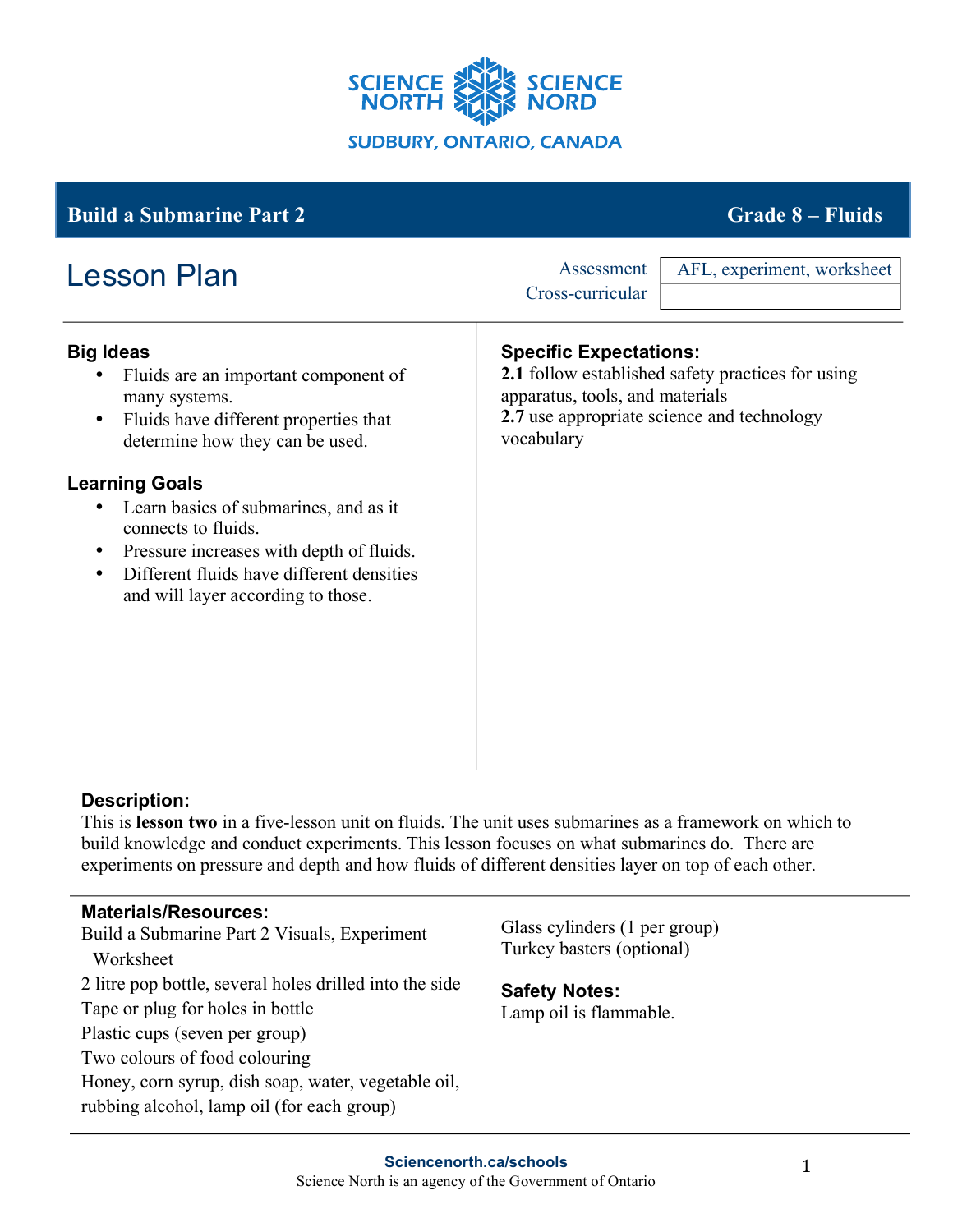

# **Big Ideas** • Fluids are an important component of many systems. • Fluids have different properties that determine how they can be used. **Learning Goals** • Learn basics of submarines, and as it connects to fluids. • Pressure increases with depth of fluids. • Different fluids have different densities and will layer according to those. **Specific Expectations: 2.1** follow established safety practices for using apparatus, tools, and materials **2.7** use appropriate science and technology vocabulary **Build a Submarine Part 2 Grade 8 – Fluids** Lesson Plan Assessment Cross-curricular AFL, experiment, worksheet

### **Description:**

This is **lesson two** in a five-lesson unit on fluids. The unit uses submarines as a framework on which to build knowledge and conduct experiments. This lesson focuses on what submarines do. There are experiments on pressure and depth and how fluids of different densities layer on top of each other.

#### **Materials/Resources:**

Build a Submarine Part 2 Visuals, Experiment Worksheet 2 litre pop bottle, several holes drilled into the side Tape or plug for holes in bottle Plastic cups (seven per group) Two colours of food colouring Honey, corn syrup, dish soap, water, vegetable oil, rubbing alcohol, lamp oil (for each group)

Glass cylinders (1 per group) Turkey basters (optional)

### **Safety Notes:**

Lamp oil is flammable.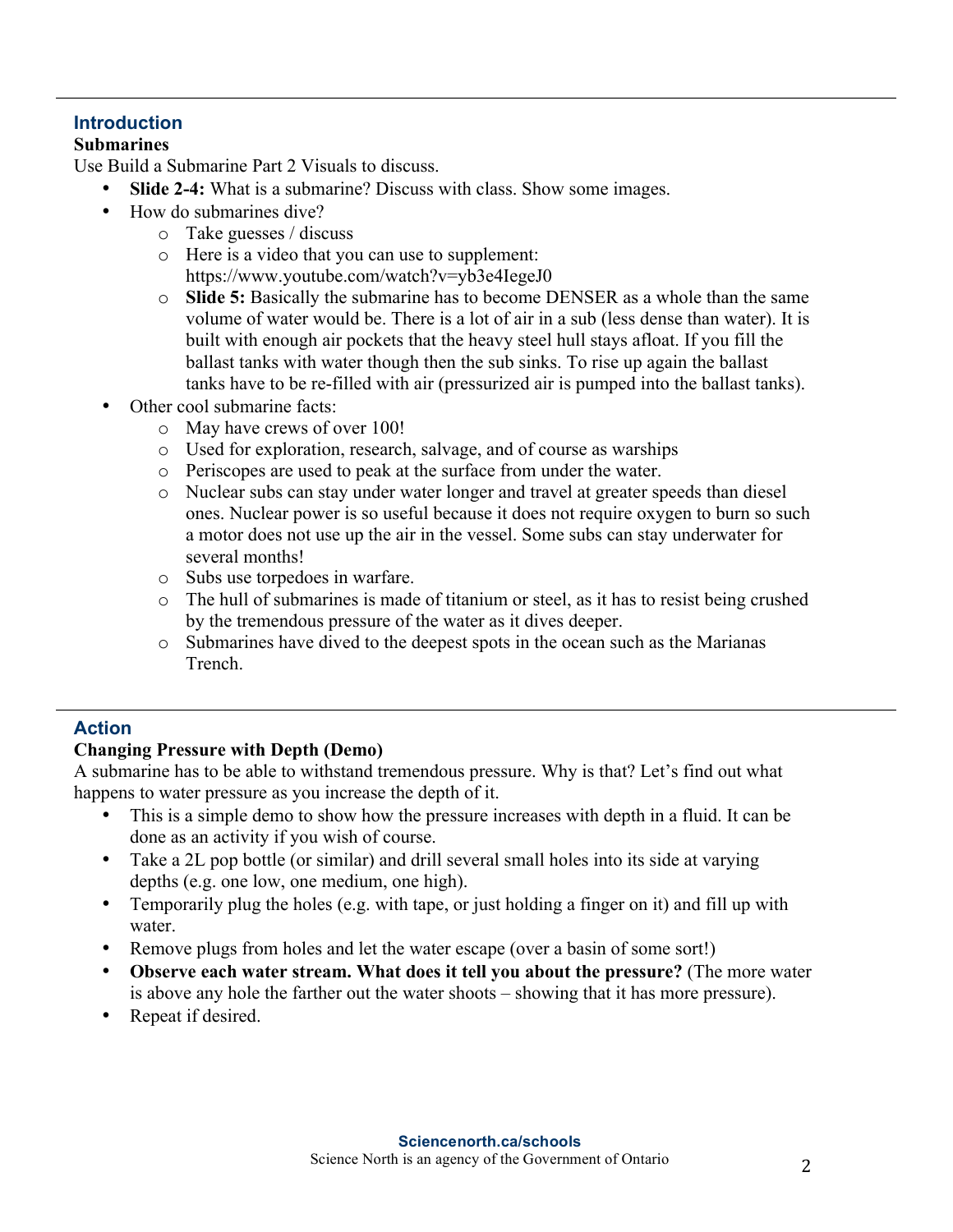## **Introduction**

#### **Submarines**

Use Build a Submarine Part 2 Visuals to discuss.

- **Slide 2-4:** What is a submarine? Discuss with class. Show some images.
- How do submarines dive?
	- o Take guesses / discuss
	- o Here is a video that you can use to supplement: https://www.youtube.com/watch?v=yb3e4IegeJ0
	- o **Slide 5:** Basically the submarine has to become DENSER as a whole than the same volume of water would be. There is a lot of air in a sub (less dense than water). It is built with enough air pockets that the heavy steel hull stays afloat. If you fill the ballast tanks with water though then the sub sinks. To rise up again the ballast tanks have to be re-filled with air (pressurized air is pumped into the ballast tanks).
- Other cool submarine facts:
	- o May have crews of over 100!
	- o Used for exploration, research, salvage, and of course as warships
	- o Periscopes are used to peak at the surface from under the water.
	- o Nuclear subs can stay under water longer and travel at greater speeds than diesel ones. Nuclear power is so useful because it does not require oxygen to burn so such a motor does not use up the air in the vessel. Some subs can stay underwater for several months!
	- o Subs use torpedoes in warfare.
	- o The hull of submarines is made of titanium or steel, as it has to resist being crushed by the tremendous pressure of the water as it dives deeper.
	- o Submarines have dived to the deepest spots in the ocean such as the Marianas Trench.

### **Action**

### **Changing Pressure with Depth (Demo)**

A submarine has to be able to withstand tremendous pressure. Why is that? Let's find out what happens to water pressure as you increase the depth of it.

- This is a simple demo to show how the pressure increases with depth in a fluid. It can be done as an activity if you wish of course.
- Take a 2L pop bottle (or similar) and drill several small holes into its side at varying depths (e.g. one low, one medium, one high).
- Temporarily plug the holes (e.g. with tape, or just holding a finger on it) and fill up with water.
- Remove plugs from holes and let the water escape (over a basin of some sort!)
- **Observe each water stream. What does it tell you about the pressure?** (The more water is above any hole the farther out the water shoots – showing that it has more pressure).
- Repeat if desired.